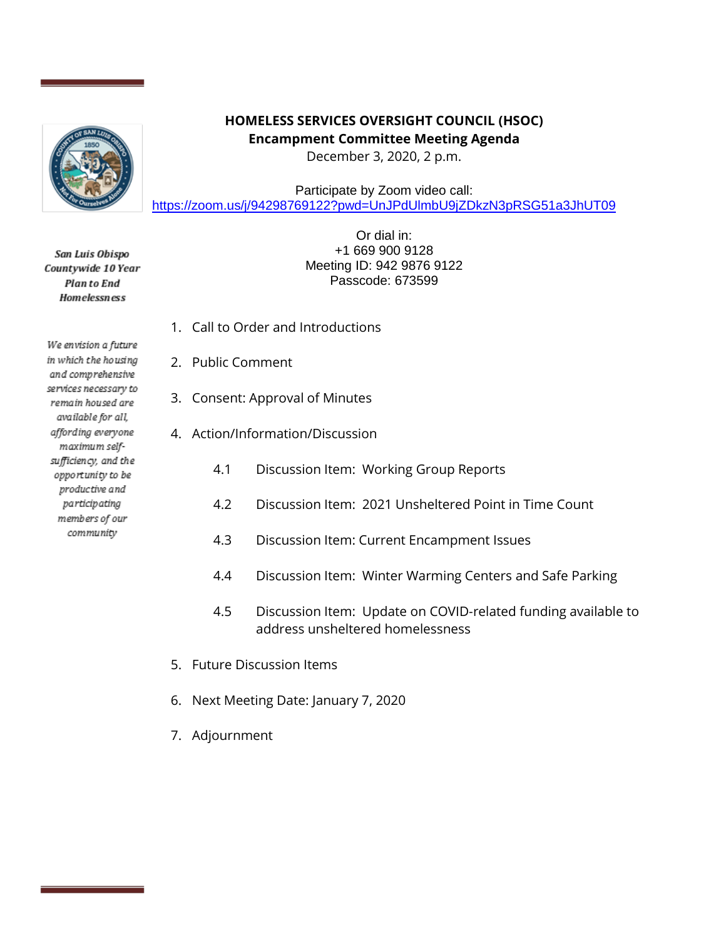

San Luis Obispo Countywide 10 Year **Planto End Homelessness** 

We envision a future in which the housing and comprehensive services necessary to remain housed are available for all, affording everyone maximum selfsufficiency, and the opportunity to be productive and participating members of our community

## **HOMELESS SERVICES OVERSIGHT COUNCIL (HSOC) Encampment Committee Meeting Agenda**

December 3, 2020, 2 p.m.

Participate by Zoom video call: <https://zoom.us/j/94298769122?pwd=UnJPdUlmbU9jZDkzN3pRSG51a3JhUT09>

> Or dial in: +1 669 900 9128 Meeting ID: 942 9876 9122 Passcode: 673599

- 1. Call to Order and Introductions
- 2. Public Comment
- 3. Consent: Approval of Minutes
- 4. Action/Information/Discussion
	- 4.1 Discussion Item: Working Group Reports
	- 4.2 Discussion Item: 2021 Unsheltered Point in Time Count
	- 4.3 Discussion Item: Current Encampment Issues
	- 4.4 Discussion Item: Winter Warming Centers and Safe Parking
	- 4.5 Discussion Item: Update on COVID-related funding available to address unsheltered homelessness
- 5. Future Discussion Items
- 6. Next Meeting Date: January 7, 2020
- 7. Adjournment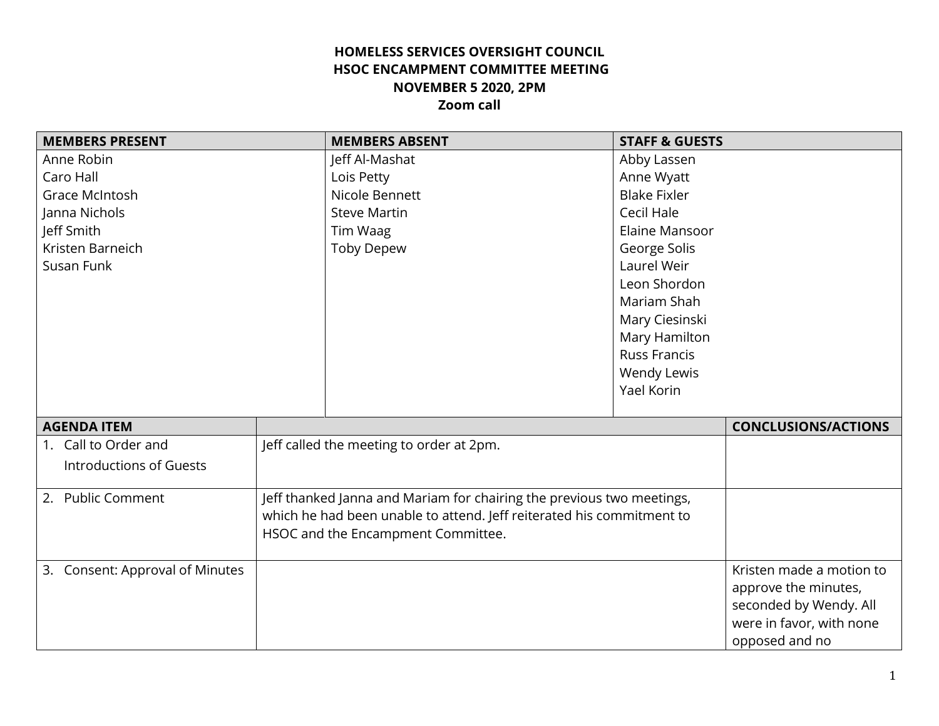## **HOMELESS SERVICES OVERSIGHT COUNCIL HSOC ENCAMPMENT COMMITTEE MEETING NOVEMBER 5 2020, 2PM Zoom call**

| <b>MEMBERS PRESENT</b>          |                                                                       | <b>MEMBERS ABSENT</b>                                                 | <b>STAFF &amp; GUESTS</b> |                            |
|---------------------------------|-----------------------------------------------------------------------|-----------------------------------------------------------------------|---------------------------|----------------------------|
| Anne Robin                      |                                                                       | Jeff Al-Mashat                                                        | Abby Lassen               |                            |
| Caro Hall                       |                                                                       | Lois Petty                                                            | Anne Wyatt                |                            |
| Grace McIntosh                  |                                                                       | Nicole Bennett                                                        | <b>Blake Fixler</b>       |                            |
| Janna Nichols                   |                                                                       | <b>Steve Martin</b>                                                   | Cecil Hale                |                            |
| Jeff Smith                      |                                                                       | Tim Waag                                                              | Elaine Mansoor            |                            |
| Kristen Barneich                |                                                                       | <b>Toby Depew</b>                                                     | George Solis              |                            |
| Susan Funk                      |                                                                       |                                                                       | Laurel Weir               |                            |
|                                 |                                                                       |                                                                       | Leon Shordon              |                            |
|                                 |                                                                       |                                                                       | Mariam Shah               |                            |
|                                 |                                                                       |                                                                       | Mary Ciesinski            |                            |
|                                 |                                                                       |                                                                       | Mary Hamilton             |                            |
|                                 |                                                                       |                                                                       | <b>Russ Francis</b>       |                            |
|                                 |                                                                       |                                                                       | Wendy Lewis               |                            |
|                                 |                                                                       |                                                                       | Yael Korin                |                            |
|                                 |                                                                       |                                                                       |                           |                            |
| <b>AGENDA ITEM</b>              |                                                                       |                                                                       |                           | <b>CONCLUSIONS/ACTIONS</b> |
| 1. Call to Order and            |                                                                       | Jeff called the meeting to order at 2pm.                              |                           |                            |
| <b>Introductions of Guests</b>  |                                                                       |                                                                       |                           |                            |
|                                 |                                                                       |                                                                       |                           |                            |
| 2. Public Comment               | Jeff thanked Janna and Mariam for chairing the previous two meetings, |                                                                       |                           |                            |
|                                 |                                                                       | which he had been unable to attend. Jeff reiterated his commitment to |                           |                            |
|                                 |                                                                       | HSOC and the Encampment Committee.                                    |                           |                            |
|                                 |                                                                       |                                                                       |                           |                            |
| 3. Consent: Approval of Minutes |                                                                       |                                                                       |                           | Kristen made a motion to   |
|                                 |                                                                       |                                                                       |                           | approve the minutes,       |
|                                 |                                                                       |                                                                       |                           | seconded by Wendy. All     |
|                                 |                                                                       |                                                                       |                           | were in favor, with none   |
|                                 |                                                                       |                                                                       |                           | opposed and no             |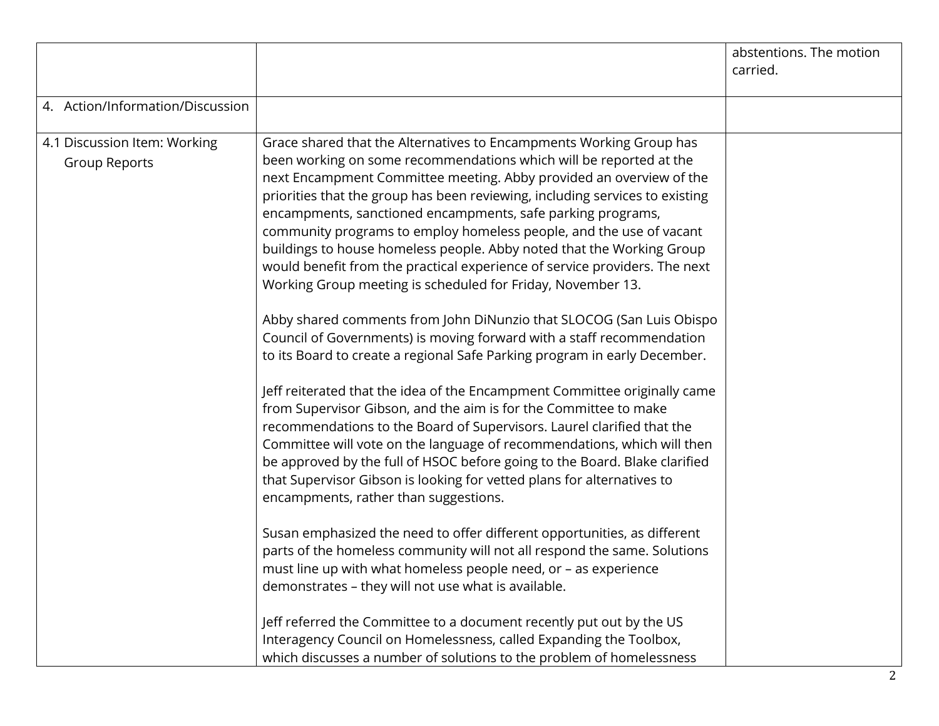|                                                      |                                                                                                                                                                                                                                                                                                                                                                                                                                                                                                                                                                                                                                                                                                                                                                                                                                                                                                                                                                                                                                                                                                                                                                                                                                                                                                                                                                                                                                                                                                                                                                                                                                                                                                                                                                                                                                   | abstentions. The motion<br>carried. |
|------------------------------------------------------|-----------------------------------------------------------------------------------------------------------------------------------------------------------------------------------------------------------------------------------------------------------------------------------------------------------------------------------------------------------------------------------------------------------------------------------------------------------------------------------------------------------------------------------------------------------------------------------------------------------------------------------------------------------------------------------------------------------------------------------------------------------------------------------------------------------------------------------------------------------------------------------------------------------------------------------------------------------------------------------------------------------------------------------------------------------------------------------------------------------------------------------------------------------------------------------------------------------------------------------------------------------------------------------------------------------------------------------------------------------------------------------------------------------------------------------------------------------------------------------------------------------------------------------------------------------------------------------------------------------------------------------------------------------------------------------------------------------------------------------------------------------------------------------------------------------------------------------|-------------------------------------|
| 4. Action/Information/Discussion                     |                                                                                                                                                                                                                                                                                                                                                                                                                                                                                                                                                                                                                                                                                                                                                                                                                                                                                                                                                                                                                                                                                                                                                                                                                                                                                                                                                                                                                                                                                                                                                                                                                                                                                                                                                                                                                                   |                                     |
| 4.1 Discussion Item: Working<br><b>Group Reports</b> | Grace shared that the Alternatives to Encampments Working Group has<br>been working on some recommendations which will be reported at the<br>next Encampment Committee meeting. Abby provided an overview of the<br>priorities that the group has been reviewing, including services to existing<br>encampments, sanctioned encampments, safe parking programs,<br>community programs to employ homeless people, and the use of vacant<br>buildings to house homeless people. Abby noted that the Working Group<br>would benefit from the practical experience of service providers. The next<br>Working Group meeting is scheduled for Friday, November 13.<br>Abby shared comments from John DiNunzio that SLOCOG (San Luis Obispo<br>Council of Governments) is moving forward with a staff recommendation<br>to its Board to create a regional Safe Parking program in early December.<br>Jeff reiterated that the idea of the Encampment Committee originally came<br>from Supervisor Gibson, and the aim is for the Committee to make<br>recommendations to the Board of Supervisors. Laurel clarified that the<br>Committee will vote on the language of recommendations, which will then<br>be approved by the full of HSOC before going to the Board. Blake clarified<br>that Supervisor Gibson is looking for vetted plans for alternatives to<br>encampments, rather than suggestions.<br>Susan emphasized the need to offer different opportunities, as different<br>parts of the homeless community will not all respond the same. Solutions<br>must line up with what homeless people need, or - as experience<br>demonstrates - they will not use what is available.<br>Jeff referred the Committee to a document recently put out by the US<br>Interagency Council on Homelessness, called Expanding the Toolbox, |                                     |
|                                                      | which discusses a number of solutions to the problem of homelessness                                                                                                                                                                                                                                                                                                                                                                                                                                                                                                                                                                                                                                                                                                                                                                                                                                                                                                                                                                                                                                                                                                                                                                                                                                                                                                                                                                                                                                                                                                                                                                                                                                                                                                                                                              |                                     |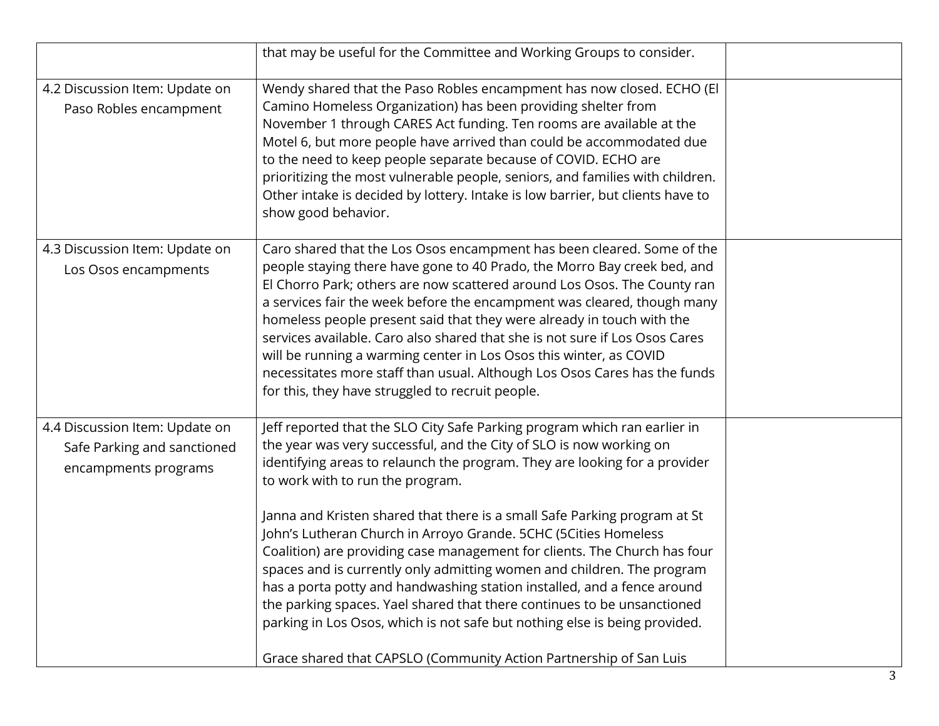|                                                                                       | that may be useful for the Committee and Working Groups to consider.                                                                                                                                                                                                                                                                                                                                                                                                                                                                                                                                                                                                                                                                                                                                                                                                                |  |
|---------------------------------------------------------------------------------------|-------------------------------------------------------------------------------------------------------------------------------------------------------------------------------------------------------------------------------------------------------------------------------------------------------------------------------------------------------------------------------------------------------------------------------------------------------------------------------------------------------------------------------------------------------------------------------------------------------------------------------------------------------------------------------------------------------------------------------------------------------------------------------------------------------------------------------------------------------------------------------------|--|
| 4.2 Discussion Item: Update on<br>Paso Robles encampment                              | Wendy shared that the Paso Robles encampment has now closed. ECHO (El<br>Camino Homeless Organization) has been providing shelter from<br>November 1 through CARES Act funding. Ten rooms are available at the<br>Motel 6, but more people have arrived than could be accommodated due<br>to the need to keep people separate because of COVID. ECHO are<br>prioritizing the most vulnerable people, seniors, and families with children.<br>Other intake is decided by lottery. Intake is low barrier, but clients have to<br>show good behavior.                                                                                                                                                                                                                                                                                                                                  |  |
| 4.3 Discussion Item: Update on<br>Los Osos encampments                                | Caro shared that the Los Osos encampment has been cleared. Some of the<br>people staying there have gone to 40 Prado, the Morro Bay creek bed, and<br>El Chorro Park; others are now scattered around Los Osos. The County ran<br>a services fair the week before the encampment was cleared, though many<br>homeless people present said that they were already in touch with the<br>services available. Caro also shared that she is not sure if Los Osos Cares<br>will be running a warming center in Los Osos this winter, as COVID<br>necessitates more staff than usual. Although Los Osos Cares has the funds<br>for this, they have struggled to recruit people.                                                                                                                                                                                                            |  |
| 4.4 Discussion Item: Update on<br>Safe Parking and sanctioned<br>encampments programs | Jeff reported that the SLO City Safe Parking program which ran earlier in<br>the year was very successful, and the City of SLO is now working on<br>identifying areas to relaunch the program. They are looking for a provider<br>to work with to run the program.<br>Janna and Kristen shared that there is a small Safe Parking program at St<br>John's Lutheran Church in Arroyo Grande. 5CHC (5Cities Homeless<br>Coalition) are providing case management for clients. The Church has four<br>spaces and is currently only admitting women and children. The program<br>has a porta potty and handwashing station installed, and a fence around<br>the parking spaces. Yael shared that there continues to be unsanctioned<br>parking in Los Osos, which is not safe but nothing else is being provided.<br>Grace shared that CAPSLO (Community Action Partnership of San Luis |  |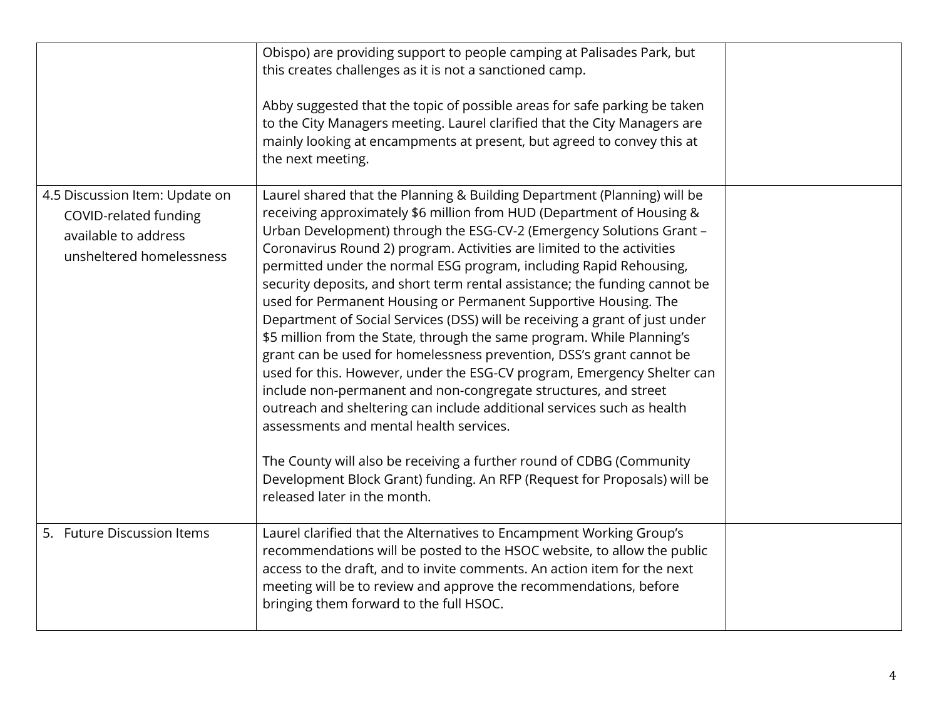|                                                                                                             | Obispo) are providing support to people camping at Palisades Park, but<br>this creates challenges as it is not a sanctioned camp.<br>Abby suggested that the topic of possible areas for safe parking be taken<br>to the City Managers meeting. Laurel clarified that the City Managers are<br>mainly looking at encampments at present, but agreed to convey this at<br>the next meeting.                                                                                                                                                                                                                                                                                                                                                                                                                                                                                                                                                                                                                                                                                                                                                                                                                         |  |
|-------------------------------------------------------------------------------------------------------------|--------------------------------------------------------------------------------------------------------------------------------------------------------------------------------------------------------------------------------------------------------------------------------------------------------------------------------------------------------------------------------------------------------------------------------------------------------------------------------------------------------------------------------------------------------------------------------------------------------------------------------------------------------------------------------------------------------------------------------------------------------------------------------------------------------------------------------------------------------------------------------------------------------------------------------------------------------------------------------------------------------------------------------------------------------------------------------------------------------------------------------------------------------------------------------------------------------------------|--|
| 4.5 Discussion Item: Update on<br>COVID-related funding<br>available to address<br>unsheltered homelessness | Laurel shared that the Planning & Building Department (Planning) will be<br>receiving approximately \$6 million from HUD (Department of Housing &<br>Urban Development) through the ESG-CV-2 (Emergency Solutions Grant -<br>Coronavirus Round 2) program. Activities are limited to the activities<br>permitted under the normal ESG program, including Rapid Rehousing,<br>security deposits, and short term rental assistance; the funding cannot be<br>used for Permanent Housing or Permanent Supportive Housing. The<br>Department of Social Services (DSS) will be receiving a grant of just under<br>\$5 million from the State, through the same program. While Planning's<br>grant can be used for homelessness prevention, DSS's grant cannot be<br>used for this. However, under the ESG-CV program, Emergency Shelter can<br>include non-permanent and non-congregate structures, and street<br>outreach and sheltering can include additional services such as health<br>assessments and mental health services.<br>The County will also be receiving a further round of CDBG (Community<br>Development Block Grant) funding. An RFP (Request for Proposals) will be<br>released later in the month. |  |
| 5. Future Discussion Items                                                                                  | Laurel clarified that the Alternatives to Encampment Working Group's<br>recommendations will be posted to the HSOC website, to allow the public<br>access to the draft, and to invite comments. An action item for the next<br>meeting will be to review and approve the recommendations, before<br>bringing them forward to the full HSOC.                                                                                                                                                                                                                                                                                                                                                                                                                                                                                                                                                                                                                                                                                                                                                                                                                                                                        |  |